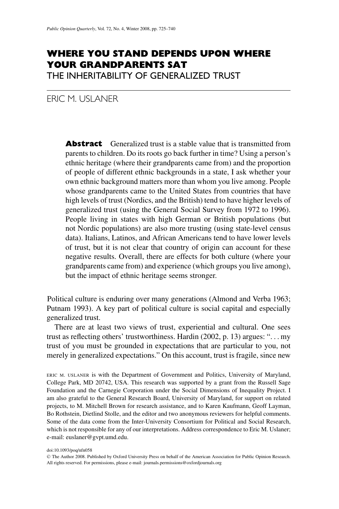# **WHERE YOU STAND DEPENDS UPON WHERE YOUR GRANDPARENTS SAT**

THE INHERITABILITY OF GENERALIZED TRUST

# ERIC M. USLANER

**Abstract** Generalized trust is a stable value that is transmitted from parents to children. Do its roots go back further in time? Using a person's ethnic heritage (where their grandparents came from) and the proportion of people of different ethnic backgrounds in a state, I ask whether your own ethnic background matters more than whom you live among. People whose grandparents came to the United States from countries that have high levels of trust (Nordics, and the British) tend to have higher levels of generalized trust (using the General Social Survey from 1972 to 1996). People living in states with high German or British populations (but not Nordic populations) are also more trusting (using state-level census data). Italians, Latinos, and African Americans tend to have lower levels of trust, but it is not clear that country of origin can account for these negative results. Overall, there are effects for both culture (where your grandparents came from) and experience (which groups you live among), but the impact of ethnic heritage seems stronger.

Political culture is enduring over many generations (Almond and Verba 1963; Putnam 1993). A key part of political culture is social capital and especially generalized trust.

There are at least two views of trust, experiential and cultural. One sees trust as reflecting others' trustworthiness. Hardin (2002, p. 13) argues: "*...* my trust of you must be grounded in expectations that are particular to you, not merely in generalized expectations." On this account, trust is fragile, since new

ERIC M. USLANER is with the Department of Government and Politics, University of Maryland, College Park, MD 20742, USA. This research was supported by a grant from the Russell Sage Foundation and the Carnegie Corporation under the Social Dimensions of Inequality Project. I am also grateful to the General Research Board, University of Maryland, for support on related projects, to M. Mitchell Brown for research assistance, and to Karen Kaufmann, Geoff Layman, Bo Rothstein, Dietlind Stolle, and the editor and two anonymous reviewers for helpful comments. Some of the data come from the Inter-University Consortium for Political and Social Research, which is not responsible for any of our interpretations. Address correspondence to Eric M. Uslaner; e-mail: euslaner@gvpt.umd.edu.

doi:10.1093/poq/nfn058

<sup>C</sup> The Author 2008. Published by Oxford University Press on behalf of the American Association for Public Opinion Research. All rights reserved. For permissions, please e-mail: journals.permissions@oxfordjournals.org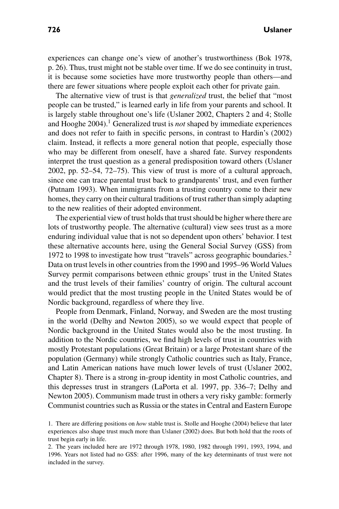experiences can change one's view of another's trustworthiness (Bok 1978, p. 26). Thus, trust might not be stable over time. If we do see continuity in trust, it is because some societies have more trustworthy people than others—and there are fewer situations where people exploit each other for private gain.

The alternative view of trust is that *generalized* trust, the belief that "most people can be trusted," is learned early in life from your parents and school. It is largely stable throughout one's life (Uslaner 2002, Chapters 2 and 4; Stolle and Hooghe  $2004$ <sup>1</sup>. Generalized trust is *not* shaped by immediate experiences and does not refer to faith in specific persons, in contrast to Hardin's (2002) claim. Instead, it reflects a more general notion that people, especially those who may be different from oneself, have a shared fate. Survey respondents interpret the trust question as a general predisposition toward others (Uslaner 2002, pp. 52–54, 72–75). This view of trust is more of a cultural approach, since one can trace parental trust back to grandparents' trust, and even further (Putnam 1993). When immigrants from a trusting country come to their new homes, they carry on their cultural traditions of trust rather than simply adapting to the new realities of their adopted environment.

The experiential view of trust holds that trust should be higher where there are lots of trustworthy people. The alternative (cultural) view sees trust as a more enduring individual value that is not so dependent upon others' behavior. I test these alternative accounts here, using the General Social Survey (GSS) from 1972 to 1998 to investigate how trust "travels" across geographic boundaries.2 Data on trust levels in other countries from the 1990 and 1995–96 World Values Survey permit comparisons between ethnic groups' trust in the United States and the trust levels of their families' country of origin. The cultural account would predict that the most trusting people in the United States would be of Nordic background, regardless of where they live.

People from Denmark, Finland, Norway, and Sweden are the most trusting in the world (Delhy and Newton 2005), so we would expect that people of Nordic background in the United States would also be the most trusting. In addition to the Nordic countries, we find high levels of trust in countries with mostly Protestant populations (Great Britain) or a large Protestant share of the population (Germany) while strongly Catholic countries such as Italy, France, and Latin American nations have much lower levels of trust (Uslaner 2002, Chapter 8). There is a strong in-group identity in most Catholic countries, and this depresses trust in strangers (LaPorta et al. 1997, pp. 336–7; Delhy and Newton 2005). Communism made trust in others a very risky gamble: formerly Communist countries such as Russia or the states in Central and Eastern Europe

<sup>1.</sup> There are differing positions on *how* stable trust is. Stolle and Hooghe (2004) believe that later experiences also shape trust much more than Uslaner (2002) does. But both hold that the roots of trust begin early in life.

<sup>2.</sup> The years included here are 1972 through 1978, 1980, 1982 through 1991, 1993, 1994, and 1996. Years not listed had no GSS: after 1996, many of the key determinants of trust were not included in the survey.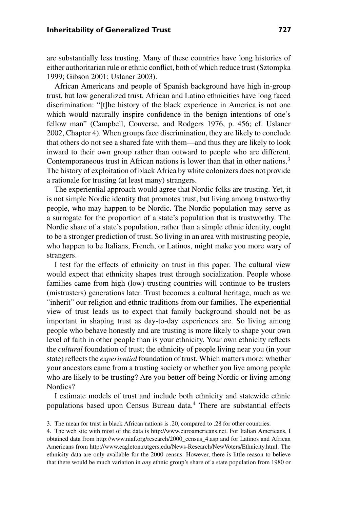are substantially less trusting. Many of these countries have long histories of either authoritarian rule or ethnic conflict, both of which reduce trust (Sztompka 1999; Gibson 2001; Uslaner 2003).

African Americans and people of Spanish background have high in-group trust, but low generalized trust. African and Latino ethnicities have long faced discrimination: "[t]he history of the black experience in America is not one which would naturally inspire confidence in the benign intentions of one's fellow man" (Campbell, Converse, and Rodgers 1976, p. 456; cf. Uslaner 2002, Chapter 4). When groups face discrimination, they are likely to conclude that others do not see a shared fate with them—and thus they are likely to look inward to their own group rather than outward to people who are different. Contemporaneous trust in African nations is lower than that in other nations.<sup>3</sup> The history of exploitation of black Africa by white colonizers does not provide a rationale for trusting (at least many) strangers.

The experiential approach would agree that Nordic folks are trusting. Yet, it is not simple Nordic identity that promotes trust, but living among trustworthy people, who may happen to be Nordic. The Nordic population may serve as a surrogate for the proportion of a state's population that is trustworthy. The Nordic share of a state's population, rather than a simple ethnic identity, ought to be a stronger prediction of trust. So living in an area with mistrusting people, who happen to be Italians, French, or Latinos, might make you more wary of strangers.

I test for the effects of ethnicity on trust in this paper. The cultural view would expect that ethnicity shapes trust through socialization. People whose families came from high (low)-trusting countries will continue to be trusters (mistrusters) generations later. Trust becomes a cultural heritage, much as we "inherit" our religion and ethnic traditions from our families. The experiential view of trust leads us to expect that family background should not be as important in shaping trust as day-to-day experiences are. So living among people who behave honestly and are trusting is more likely to shape your own level of faith in other people than is your ethnicity. Your own ethnicity reflects the *cultural* foundation of trust; the ethnicity of people living near you (in your state) reflects the *experiential* foundation of trust. Which matters more: whether your ancestors came from a trusting society or whether you live among people who are likely to be trusting? Are you better off being Nordic or living among Nordics?

I estimate models of trust and include both ethnicity and statewide ethnic populations based upon Census Bureau data.<sup>4</sup> There are substantial effects

<sup>3.</sup> The mean for trust in black African nations is .20, compared to .28 for other countries.

<sup>4.</sup> The web site with most of the data is http://www.euroamericans.net. For Italian Americans, I obtained data from http://www.niaf.org/research/2000\_census\_4.asp and for Latinos and African Americans from http://www.eagleton.rutgers.edu/News-Research/NewVoters/Ethnicity.html. The ethnicity data are only available for the 2000 census. However, there is little reason to believe that there would be much variation in *any* ethnic group's share of a state population from 1980 or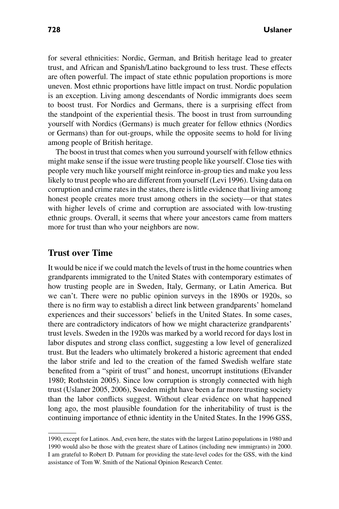for several ethnicities: Nordic, German, and British heritage lead to greater trust, and African and Spanish/Latino background to less trust. These effects are often powerful. The impact of state ethnic population proportions is more uneven. Most ethnic proportions have little impact on trust. Nordic population is an exception. Living among descendants of Nordic immigrants does seem to boost trust. For Nordics and Germans, there is a surprising effect from the standpoint of the experiential thesis. The boost in trust from surrounding yourself with Nordics (Germans) is much greater for fellow ethnics (Nordics or Germans) than for out-groups, while the opposite seems to hold for living among people of British heritage.

The boost in trust that comes when you surround yourself with fellow ethnics might make sense if the issue were trusting people like yourself. Close ties with people very much like yourself might reinforce in-group ties and make you less likely to trust people who are different from yourself (Levi 1996). Using data on corruption and crime rates in the states, there is little evidence that living among honest people creates more trust among others in the society—or that states with higher levels of crime and corruption are associated with low-trusting ethnic groups. Overall, it seems that where your ancestors came from matters more for trust than who your neighbors are now.

### **Trust over Time**

It would be nice if we could match the levels of trust in the home countries when grandparents immigrated to the United States with contemporary estimates of how trusting people are in Sweden, Italy, Germany, or Latin America. But we can't. There were no public opinion surveys in the 1890s or 1920s, so there is no firm way to establish a direct link between grandparents' homeland experiences and their successors' beliefs in the United States. In some cases, there are contradictory indicators of how we might characterize grandparents' trust levels. Sweden in the 1920s was marked by a world record for days lost in labor disputes and strong class conflict, suggesting a low level of generalized trust. But the leaders who ultimately brokered a historic agreement that ended the labor strife and led to the creation of the famed Swedish welfare state benefited from a "spirit of trust" and honest, uncorrupt institutions (Elvander 1980; Rothstein 2005). Since low corruption is strongly connected with high trust (Uslaner 2005, 2006), Sweden might have been a far more trusting society than the labor conflicts suggest. Without clear evidence on what happened long ago, the most plausible foundation for the inheritability of trust is the continuing importance of ethnic identity in the United States. In the 1996 GSS,

<sup>1990,</sup> except for Latinos. And, even here, the states with the largest Latino populations in 1980 and 1990 would also be those with the greatest share of Latinos (including new immigrants) in 2000. I am grateful to Robert D. Putnam for providing the state-level codes for the GSS, with the kind assistance of Tom W. Smith of the National Opinion Research Center.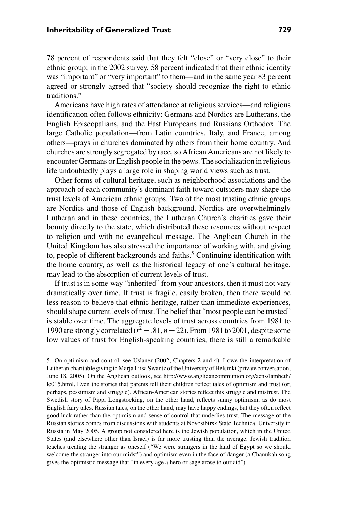#### **Inheritability of Generalized Trust 729 729**

78 percent of respondents said that they felt "close" or "very close" to their ethnic group; in the 2002 survey, 58 percent indicated that their ethnic identity was "important" or "very important" to them—and in the same year 83 percent agreed or strongly agreed that "society should recognize the right to ethnic traditions."

Americans have high rates of attendance at religious services—and religious identification often follows ethnicity: Germans and Nordics are Lutherans, the English Episcopalians, and the East Europeans and Russians Orthodox. The large Catholic population—from Latin countries, Italy, and France, among others—prays in churches dominated by others from their home country. And churches are strongly segregated by race, so African Americans are not likely to encounter Germans or English people in the pews. The socialization in religious life undoubtedly plays a large role in shaping world views such as trust.

Other forms of cultural heritage, such as neighborhood associations and the approach of each community's dominant faith toward outsiders may shape the trust levels of American ethnic groups. Two of the most trusting ethnic groups are Nordics and those of English background. Nordics are overwhelmingly Lutheran and in these countries, the Lutheran Church's charities gave their bounty directly to the state, which distributed these resources without respect to religion and with no evangelical message. The Anglican Church in the United Kingdom has also stressed the importance of working with, and giving to, people of different backgrounds and faiths.<sup>5</sup> Continuing identification with the home country, as well as the historical legacy of one's cultural heritage, may lead to the absorption of current levels of trust.

If trust is in some way "inherited" from your ancestors, then it must not vary dramatically over time. If trust is fragile, easily broken, then there would be less reason to believe that ethnic heritage, rather than immediate experiences, should shape current levels of trust. The belief that "most people can be trusted" is stable over time. The aggregate levels of trust across countries from 1981 to 1990 are strongly correlated  $(r^2 = .81, n = 22)$ . From 1981 to 2001, despite some low values of trust for English-speaking countries, there is still a remarkable

5. On optimism and control, see Uslaner (2002, Chapters 2 and 4). I owe the interpretation of Lutheran charitable giving to Marja Liisa Swantz of the University of Helsinki (private conversation, June 18, 2005). On the Anglican outlook, see http://www.anglicancommunion.org/acns/lambeth/ lc015.html. Even the stories that parents tell their children reflect tales of optimism and trust (or, perhaps, pessimism and struggle). African-American stories reflect this struggle and mistrust. The Swedish story of Pippi Longstocking, on the other hand, reflects sunny optimism, as do most English fairy tales. Russian tales, on the other hand, may have happy endings, but they often reflect good luck rather than the optimism and sense of control that underlies trust. The message of the Russian stories comes from discussions with students at Novosibirsk State Technical University in Russia in May 2005. A group not considered here is the Jewish population, which in the United States (and elsewhere other than Israel) is far more trusting than the average. Jewish tradition teaches treating the stranger as oneself ("We were strangers in the land of Egypt so we should welcome the stranger into our midst") and optimism even in the face of danger (a Chanukah song gives the optimistic message that "in every age a hero or sage arose to our aid").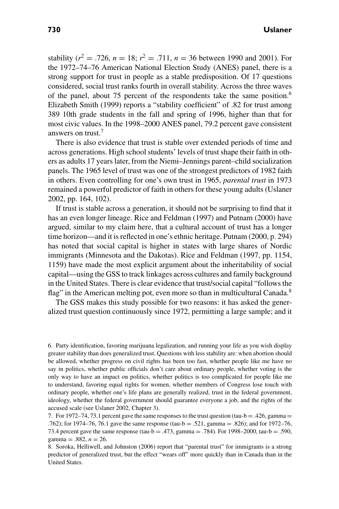stability ( $r^2 = .726$ ,  $n = 18$ ;  $r^2 = .711$ ,  $n = 36$  between 1990 and 2001). For the 1972–74–76 American National Election Study (ANES) panel, there is a strong support for trust in people as a stable predisposition. Of 17 questions considered, social trust ranks fourth in overall stability. Across the three waves of the panel, about 75 percent of the respondents take the same position.<sup>6</sup> Elizabeth Smith (1999) reports a "stability coefficient" of .82 for trust among 389 10th grade students in the fall and spring of 1996, higher than that for most civic values. In the 1998–2000 ANES panel, 79.2 percent gave consistent answers on trust.<sup>7</sup>

There is also evidence that trust is stable over extended periods of time and across generations. High school students' levels of trust shape their faith in others as adults 17 years later, from the Niemi–Jennings parent–child socialization panels. The 1965 level of trust was one of the strongest predictors of 1982 faith in others. Even controlling for one's own trust in 1965, *parental trust* in 1973 remained a powerful predictor of faith in others for these young adults (Uslaner 2002, pp. 164, 102).

If trust is stable across a generation, it should not be surprising to find that it has an even longer lineage. Rice and Feldman (1997) and Putnam (2000) have argued, similar to my claim here, that a cultural account of trust has a longer time horizon—and it is reflected in one's ethnic heritage. Putnam (2000, p. 294) has noted that social capital is higher in states with large shares of Nordic immigrants (Minnesota and the Dakotas). Rice and Feldman (1997, pp. 1154, 1159) have made the most explicit argument about the inheritability of social capital—using the GSS to track linkages across cultures and family background in the United States. There is clear evidence that trust/social capital "follows the flag" in the American melting pot, even more so than in multicultural Canada.<sup>8</sup>

The GSS makes this study possible for two reasons: it has asked the generalized trust question continuously since 1972, permitting a large sample; and it

6. Party identification, favoring marijuana legalization, and running your life as you wish display greater stability than does generalized trust. Questions with less stability are: when abortion should be allowed, whether progress on civil rights has been too fast, whether people like me have no say in politics, whether public officials don't care about ordinary people, whether voting is the only way to have an impact on politics, whether politics is too complicated for people like me to understand, favoring equal rights for women, whether members of Congress lose touch with ordinary people, whether one's life plans are generally realized, trust in the federal government, ideology, whether the federal government should guarantee everyone a job, and the rights of the accused scale (see Uslaner 2002, Chapter 3).

7. For 1972–74, 73.1 percent gave the same responses to the trust question (tau-b = .426, gamma = .762); for 1974–76, 76.1 gave the same response (tau-b = .521, gamma = .826); and for 1972–76, 73.4 percent gave the same response (tau-b = .473, gamma = .784). For 1998–2000, tau-b = .590, gamma = .882,  $n = 26$ .

8. Soroka, Helliwell, and Johnston (2006) report that "parental trust" for immigrants is a strong predictor of generalized trust, but the effect "wears off" more quickly than in Canada than in the United States.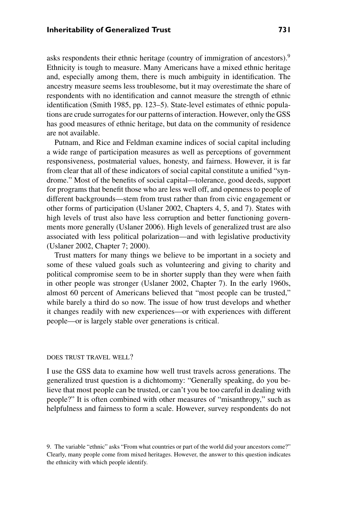asks respondents their ethnic heritage (country of immigration of ancestors).<sup>9</sup> Ethnicity is tough to measure. Many Americans have a mixed ethnic heritage and, especially among them, there is much ambiguity in identification. The ancestry measure seems less troublesome, but it may overestimate the share of respondents with no identification and cannot measure the strength of ethnic identification (Smith 1985, pp. 123–5). State-level estimates of ethnic populations are crude surrogates for our patterns of interaction. However, only the GSS has good measures of ethnic heritage, but data on the community of residence are not available.

Putnam, and Rice and Feldman examine indices of social capital including a wide range of participation measures as well as perceptions of government responsiveness, postmaterial values, honesty, and fairness. However, it is far from clear that all of these indicators of social capital constitute a unified "syndrome." Most of the benefits of social capital—tolerance, good deeds, support for programs that benefit those who are less well off, and openness to people of different backgrounds—stem from trust rather than from civic engagement or other forms of participation (Uslaner 2002, Chapters 4, 5, and 7). States with high levels of trust also have less corruption and better functioning governments more generally (Uslaner 2006). High levels of generalized trust are also associated with less political polarization—and with legislative productivity (Uslaner 2002, Chapter 7; 2000).

Trust matters for many things we believe to be important in a society and some of these valued goals such as volunteering and giving to charity and political compromise seem to be in shorter supply than they were when faith in other people was stronger (Uslaner 2002, Chapter 7). In the early 1960s, almost 60 percent of Americans believed that "most people can be trusted," while barely a third do so now. The issue of how trust develops and whether it changes readily with new experiences—or with experiences with different people—or is largely stable over generations is critical.

#### DOES TRUST TRAVEL WELL?

I use the GSS data to examine how well trust travels across generations. The generalized trust question is a dichtomomy: "Generally speaking, do you believe that most people can be trusted, or can't you be too careful in dealing with people?" It is often combined with other measures of "misanthropy," such as helpfulness and fairness to form a scale. However, survey respondents do not

<sup>9.</sup> The variable "ethnic" asks "From what countries or part of the world did your ancestors come?" Clearly, many people come from mixed heritages. However, the answer to this question indicates the ethnicity with which people identify.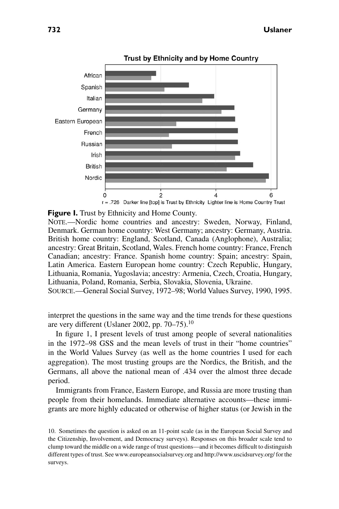

**Figure I.** Trust by Ethnicity and Home County.

NOTE.—Nordic home countries and ancestry: Sweden, Norway, Finland, Denmark. German home country: West Germany; ancestry: Germany, Austria. British home country: England, Scotland, Canada (Anglophone), Australia; ancestry: Great Britain, Scotland, Wales. French home country: France, French Canadian; ancestry: France. Spanish home country: Spain; ancestry: Spain, Latin America. Eastern European home country: Czech Republic, Hungary, Lithuania, Romania, Yugoslavia; ancestry: Armenia, Czech, Croatia, Hungary, Lithuania, Poland, Romania, Serbia, Slovakia, Slovenia, Ukraine.

SOURCE.—General Social Survey, 1972–98; World Values Survey, 1990, 1995.

interpret the questions in the same way and the time trends for these questions are very different (Uslaner 2002, pp.  $70-75$ ).<sup>10</sup>

In figure 1, I present levels of trust among people of several nationalities in the 1972–98 GSS and the mean levels of trust in their "home countries" in the World Values Survey (as well as the home countries I used for each aggregation). The most trusting groups are the Nordics, the British, and the Germans, all above the national mean of .434 over the almost three decade period.

Immigrants from France, Eastern Europe, and Russia are more trusting than people from their homelands. Immediate alternative accounts—these immigrants are more highly educated or otherwise of higher status (or Jewish in the

10. Sometimes the question is asked on an 11-point scale (as in the European Social Survey and the Citizenship, Involvement, and Democracy surveys). Responses on this broader scale tend to clump toward the middle on a wide range of trust questions—and it becomes difficult to distinguish different types of trust. See www.europeansocialsurvey.org and http://www.uscidsurvey.org/ for the surveys.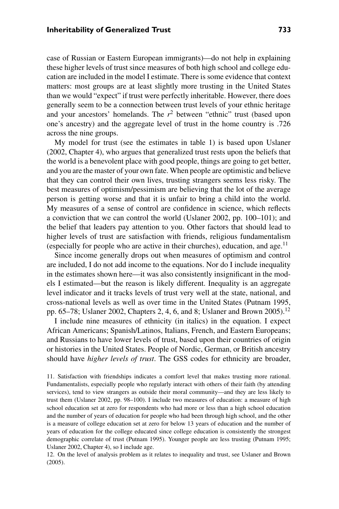case of Russian or Eastern European immigrants)—do not help in explaining these higher levels of trust since measures of both high school and college education are included in the model I estimate. There is some evidence that context matters: most groups are at least slightly more trusting in the United States than we would "expect" if trust were perfectly inheritable. However, there does generally seem to be a connection between trust levels of your ethnic heritage and your ancestors' homelands. The  $r^2$  between "ethnic" trust (based upon one's ancestry) and the aggregate level of trust in the home country is .726 across the nine groups.

My model for trust (see the estimates in table 1) is based upon Uslaner (2002, Chapter 4), who argues that generalized trust rests upon the beliefs that the world is a benevolent place with good people, things are going to get better, and you are the master of your own fate. When people are optimistic and believe that they can control their own lives, trusting strangers seems less risky. The best measures of optimism/pessimism are believing that the lot of the average person is getting worse and that it is unfair to bring a child into the world. My measures of a sense of control are confidence in science, which reflects a conviction that we can control the world (Uslaner 2002, pp. 100–101); and the belief that leaders pay attention to you. Other factors that should lead to higher levels of trust are satisfaction with friends, religious fundamentalism (especially for people who are active in their churches), education, and age.<sup>11</sup>

Since income generally drops out when measures of optimism and control are included, I do not add income to the equations. Nor do I include inequality in the estimates shown here—it was also consistently insignificant in the models I estimated—but the reason is likely different. Inequality is an aggregate level indicator and it tracks levels of trust very well at the state, national, and cross-national levels as well as over time in the United States (Putnam 1995, pp. 65–78; Uslaner 2002, Chapters 2, 4, 6, and 8; Uslaner and Brown 2005).<sup>12</sup>

I include nine measures of ethnicity (in italics) in the equation. I expect African Americans; Spanish/Latinos, Italians, French, and Eastern Europeans; and Russians to have lower levels of trust, based upon their countries of origin or histories in the United States. People of Nordic, German, or British ancestry should have *higher levels of trust*. The GSS codes for ethnicity are broader,

11. Satisfaction with friendships indicates a comfort level that makes trusting more rational. Fundamentalists, especially people who regularly interact with others of their faith (by attending services), tend to view strangers as outside their moral community—and they are less likely to trust them (Uslaner 2002, pp. 98–100). I include two measures of education: a measure of high school education set at zero for respondents who had more or less than a high school education and the number of years of education for people who had been through high school, and the other is a measure of college education set at zero for below 13 years of education and the number of years of education for the college educated since college education is consistently the strongest demographic correlate of trust (Putnam 1995). Younger people are less trusting (Putnam 1995; Uslaner 2002, Chapter 4), so I include age.

12. On the level of analysis problem as it relates to inequality and trust, see Uslaner and Brown (2005).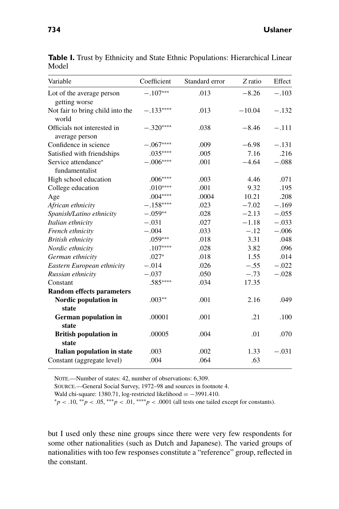| Variable                                      | Coefficient | Standard error | Z ratio  | Effect  |
|-----------------------------------------------|-------------|----------------|----------|---------|
| Lot of the average person<br>getting worse    | $-.107***$  | .013           | $-8.26$  | $-.103$ |
| Not fair to bring child into the<br>world     | $-.133***$  | .013           | $-10.04$ | $-.132$ |
| Officials not interested in<br>average person | $-.320***$  | .038           | $-8.46$  | $-.111$ |
| Confidence in science                         | $-.067***$  | .009           | $-6.98$  | $-.131$ |
| Satisfied with friendships                    | $.035***$   | .005           | 7.16     | .216    |
| Service attendance*<br>fundamentalist         | $-.006***$  | .001           | $-4.64$  | $-.088$ |
| High school education                         | $.006***$   | .003           | 4.46     | .071    |
| College education                             | $.010***$   | .001           | 9.32     | .195    |
| Age                                           | $.004***$   | .0004          | 10.21    | .208    |
| African ethnicity                             | $-.158***$  | .023           | $-7.02$  | $-.169$ |
| Spanish/Latino ethnicity                      | $-.059**$   | .028           | $-2.13$  | $-.055$ |
| Italian ethnicity                             | $-.031$     | .027           | $-1.18$  | $-.033$ |
| French ethnicity                              | $-.004$     | .033           | $-.12$   | $-.006$ |
| <b>British ethnicity</b>                      | $.059***$   | .018           | 3.31     | .048    |
| Nordic ethnicity                              | $.107***$   | .028           | 3.82     | .096    |
| German ethnicity                              | $.027*$     | .018           | 1.55     | .014    |
| Eastern European ethnicity                    | $-.014$     | .026           | $-.55$   | $-.022$ |
| Russian ethnicity                             | $-.037$     | .050           | $-.73$   | $-.028$ |
| Constant                                      | $.585***$   | .034           | 17.35    |         |
| <b>Random effects parameters</b>              |             |                |          |         |
| Nordic population in<br>state                 | $.003**$    | .001           | 2.16     | .049    |
| <b>German population in</b><br>state          | .00001      | .001           | .21      | .100    |
| <b>British population in</b><br>state         | .00005      | .004           | .01      | .070    |
| <b>Italian population in state</b>            | .003        | .002           | 1.33     | $-.031$ |
| Constant (aggregate level)                    | .004        | .064           | .63      |         |

**Table I.** Trust by Ethnicity and State Ethnic Populations: Hierarchical Linear Model

NOTE.—Number of states: 42, number of observations: 6,309.

SOURCE.—General Social Survey, 1972–98 and sources in footnote 4.

Wald chi-square: 1380.71, log-restricted likelihood =  $-3991.410$ .

∗*p <* .10, ∗∗*p <* .05, ∗∗∗*p <* .01, ∗∗∗∗*p <* .0001 (all tests one tailed except for constants).

but I used only these nine groups since there were very few respondents for some other nationalities (such as Dutch and Japanese). The varied groups of nationalities with too few responses constitute a "reference" group, reflected in the constant.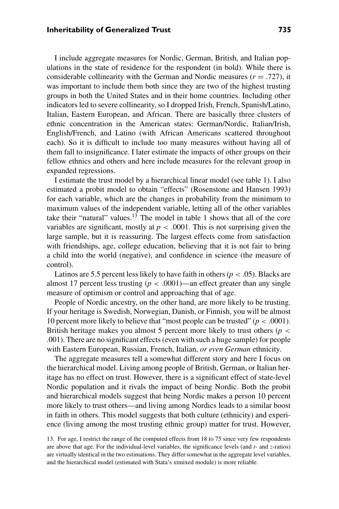I include aggregate measures for Nordic, German, British, and Italian populations in the state of residence for the respondent (in bold). While there is considerable collinearity with the German and Nordic measures  $(r = .727)$ , it was important to include them both since they are two of the highest trusting groups in both the United States and in their home countries. Including other indicators led to severe collinearity, so I dropped Irish, French, Spanish/Latino, Italian, Eastern European, and African. There are basically three clusters of ethnic concentration in the American states: German/Nordic, Italian/Irish, English/French, and Latino (with African Americans scattered throughout each). So it is difficult to include too many measures without having all of them fall to insignificance. I later estimate the impacts of other groups on their fellow ethnics and others and here include measures for the relevant group in expanded regressions.

I estimate the trust model by a hierarchical linear model (see table 1). I also estimated a probit model to obtain "effects" (Rosenstone and Hansen 1993) for each variable, which are the changes in probability from the minimum to maximum values of the independent variable, letting all of the other variables take their "natural" values.<sup>13</sup> The model in table 1 shows that all of the core variables are significant, mostly at  $p < .0001$ . This is not surprising given the large sample, but it is reassuring. The largest effects come from satisfaction with friendships, age, college education, believing that it is not fair to bring a child into the world (negative), and confidence in science (the measure of control).

Latinos are 5.5 percent less likely to have faith in others ( $p < .05$ ). Blacks are almost 17 percent less trusting  $(p < .0001)$ —an effect greater than any single measure of optimism or control and approaching that of age.

People of Nordic ancestry, on the other hand, are more likely to be trusting. If your heritage is Swedish, Norwegian, Danish, or Finnish, you will be almost 10 percent more likely to believe that "most people can be trusted" (*p <* .0001). British heritage makes you almost 5 percent more likely to trust others (*p <* .001). There are no significant effects (even with such a huge sample) for people with Eastern European, Russian, French, Italian, *or even German* ethnicity.

The aggregate measures tell a somewhat different story and here I focus on the hierarchical model. Living among people of British, German, or Italian heritage has no effect on trust. However, there is a significant effect of state-level Nordic population and it rivals the impact of being Nordic. Both the probit and hierarchical models suggest that being Nordic makes a person 10 percent more likely to trust others—and living among Nordics leads to a similar boost in faith in others. This model suggests that both culture (ethnicity) and experience (living among the most trusting ethnic group) matter for trust. However,

<sup>13.</sup> For age, I restrict the range of the computed effects from 18 to 75 since very few respondents are above that age. For the individual-level variables, the significance levels (and *t*- and *z*-ratios) are virtually identical in the two estimations. They differ somewhat in the aggregate level variables, and the hierarchical model (estimated with Stata's xtmixed module) is more reliable.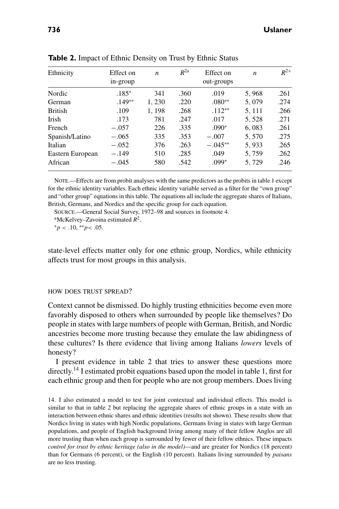#### **736 Uslaner**

| Ethnicity        | Effect on<br>in-group | n     | $R^{2a}$ | Effect on<br>out-groups | $\boldsymbol{n}$ | $R^{2+}$ |
|------------------|-----------------------|-------|----------|-------------------------|------------------|----------|
| Nordic           | $.185*$               | 341   | .360     | .019                    | 5,968            | .261     |
| German           | $.149**$              | 1,230 | .220     | $.080**$                | 5,079            | .274     |
| <b>British</b>   | .109                  | 1.198 | .268     | $.112**$                | 5, 111           | .266     |
| <b>Irish</b>     | .173                  | 781   | .247     | .017                    | 5,528            | .271     |
| French           | $-.057$               | 226   | .335     | $.090*$                 | 6,083            | .261     |
| Spanish/Latino   | $-.065$               | 335   | .353     | $-.007$                 | 5,570            | .275     |
| Italian          | $-.052$               | 376   | .263     | $-.045**$               | 5,933            | .265     |
| Eastern European | $-.149$               | 510   | .285     | .049                    | 5,759            | .262     |
| African          | $-.045$               | 580   | .542     | $.099*$                 | 5,729            | .246     |

**Table 2.** Impact of Ethnic Density on Trust by Ethnic Status

NOTE.—Effects are from probit analyses with the same predictors as the probits in table 1 except for the ethnic identity variables. Each ethnic identity variable served as a filter for the "own group" and "other group" equations in this table. The equations all include the aggregate shares of Italians, British, Germans, and Nordics and the specific group for each equation.

SOURCE.—General Social Survey, 1972–98 and sources in footnote 4.

<sup>a</sup>McKelvey–Zavoina estimated  $R^2$ .

 $**p* < .10, ***p* < .05.$ 

state-level effects matter only for one ethnic group, Nordics, while ethnicity affects trust for most groups in this analysis.

#### HOW DOES TRUST SPREAD?

Context cannot be dismissed. Do highly trusting ethnicities become even more favorably disposed to others when surrounded by people like themselves? Do people in states with large numbers of people with German, British, and Nordic ancestries become more trusting because they emulate the law abidingness of these cultures? Is there evidence that living among Italians *lowers* levels of honesty?

I present evidence in table 2 that tries to answer these questions more directly.14 I estimated probit equations based upon the model in table 1, first for each ethnic group and then for people who are not group members. Does living

14. I also estimated a model to test for joint contextual and individual effects. This model is similar to that in table 2 but replacing the aggregate shares of ethnic groups in a state with an interaction between ethnic shares and ethnic identities (results not shown). These results show that Nordics living in states with high Nordic populations, Germans living in states with large German populations, and people of English background living among many of their fellow Anglos are all more trusting than when each group is surrounded by fewer of their fellow ethnics. These impacts *control for trust by ethnic heritage (also in the model)*—and are greater for Nordics (18 percent) than for Germans (6 percent), or the English (10 percent). Italians living surrounded by *paisans* are no less trusting.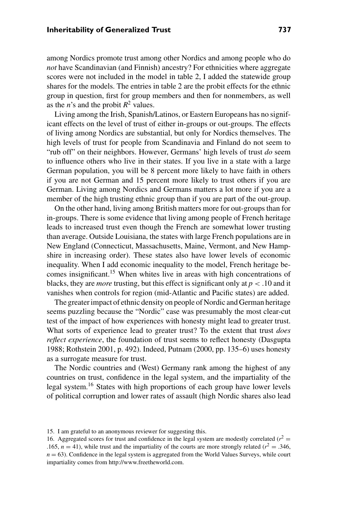among Nordics promote trust among other Nordics and among people who do *not* have Scandinavian (and Finnish) ancestry? For ethnicities where aggregate scores were not included in the model in table 2, I added the statewide group shares for the models. The entries in table 2 are the probit effects for the ethnic group in question, first for group members and then for nonmembers, as well as the *n*'s and the probit  $R^2$  values.

Living among the Irish, Spanish/Latinos, or Eastern Europeans has no significant effects on the level of trust of either in-groups or out-groups. The effects of living among Nordics are substantial, but only for Nordics themselves. The high levels of trust for people from Scandinavia and Finland do not seem to "rub off" on their neighbors. However, Germans' high levels of trust *do* seem to influence others who live in their states. If you live in a state with a large German population, you will be 8 percent more likely to have faith in others if you are not German and 15 percent more likely to trust others if you are German. Living among Nordics and Germans matters a lot more if you are a member of the high trusting ethnic group than if you are part of the out-group.

On the other hand, living among British matters more for out-groups than for in-groups. There is some evidence that living among people of French heritage leads to increased trust even though the French are somewhat lower trusting than average. Outside Louisiana, the states with large French populations are in New England (Connecticut, Massachusetts, Maine, Vermont, and New Hampshire in increasing order). These states also have lower levels of economic inequality. When I add economic inequality to the model, French heritage becomes insignificant.<sup>15</sup> When whites live in areas with high concentrations of blacks, they are *more* trusting, but this effect is significant only at  $p < 0.10$  and it vanishes when controls for region (mid-Atlantic and Pacific states) are added.

The greater impact of ethnic density on people of Nordic and German heritage seems puzzling because the "Nordic" case was presumably the most clear-cut test of the impact of how experiences with honesty might lead to greater trust. What sorts of experience lead to greater trust? To the extent that trust *does reflect experience*, the foundation of trust seems to reflect honesty (Dasgupta 1988; Rothstein 2001, p. 492). Indeed, Putnam (2000, pp. 135–6) uses honesty as a surrogate measure for trust.

The Nordic countries and (West) Germany rank among the highest of any countries on trust, confidence in the legal system, and the impartiality of the legal system.16 States with high proportions of each group have lower levels of political corruption and lower rates of assault (high Nordic shares also lead

<sup>15.</sup> I am grateful to an anonymous reviewer for suggesting this.

<sup>16.</sup> Aggregated scores for trust and confidence in the legal system are modestly correlated  $(r^2 =$ .165,  $n = 41$ ), while trust and the impartiality of the courts are more strongly related ( $r^2 = .346$ ,  $n = 63$ ). Confidence in the legal system is aggregated from the World Values Surveys, while court impartiality comes from http://www.freetheworld.com.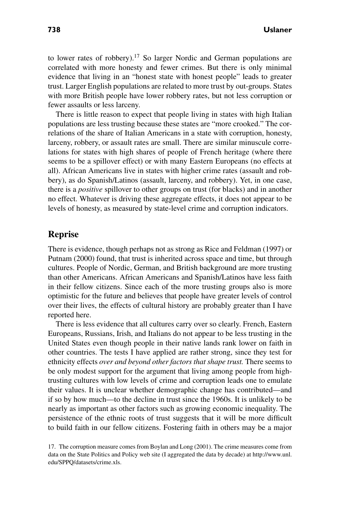to lower rates of robbery).<sup>17</sup> So larger Nordic and German populations are correlated with more honesty and fewer crimes. But there is only minimal evidence that living in an "honest state with honest people" leads to greater trust. Larger English populations are related to more trust by out-groups. States with more British people have lower robbery rates, but not less corruption or fewer assaults or less larceny.

There is little reason to expect that people living in states with high Italian populations are less trusting because these states are "more crooked." The correlations of the share of Italian Americans in a state with corruption, honesty, larceny, robbery, or assault rates are small. There are similar minuscule correlations for states with high shares of people of French heritage (where there seems to be a spillover effect) or with many Eastern Europeans (no effects at all). African Americans live in states with higher crime rates (assault and robbery), as do Spanish/Latinos (assault, larceny, and robbery). Yet, in one case, there is a *positive* spillover to other groups on trust (for blacks) and in another no effect. Whatever is driving these aggregate effects, it does not appear to be levels of honesty, as measured by state-level crime and corruption indicators.

# **Reprise**

There is evidence, though perhaps not as strong as Rice and Feldman (1997) or Putnam (2000) found, that trust is inherited across space and time, but through cultures. People of Nordic, German, and British background are more trusting than other Americans. African Americans and Spanish/Latinos have less faith in their fellow citizens. Since each of the more trusting groups also is more optimistic for the future and believes that people have greater levels of control over their lives, the effects of cultural history are probably greater than I have reported here.

There is less evidence that all cultures carry over so clearly. French, Eastern Europeans, Russians, Irish, and Italians do not appear to be less trusting in the United States even though people in their native lands rank lower on faith in other countries. The tests I have applied are rather strong, since they test for ethnicity effects *over and beyond other factors that shape trust.* There seems to be only modest support for the argument that living among people from hightrusting cultures with low levels of crime and corruption leads one to emulate their values. It is unclear whether demographic change has contributed—and if so by how much—to the decline in trust since the 1960s. It is unlikely to be nearly as important as other factors such as growing economic inequality. The persistence of the ethnic roots of trust suggests that it will be more difficult to build faith in our fellow citizens. Fostering faith in others may be a major

17. The corruption measure comes from Boylan and Long (2001). The crime measures come from data on the State Politics and Policy web site (I aggregated the data by decade) at http://www.unl. edu/SPPQ/datasets/crime.xls.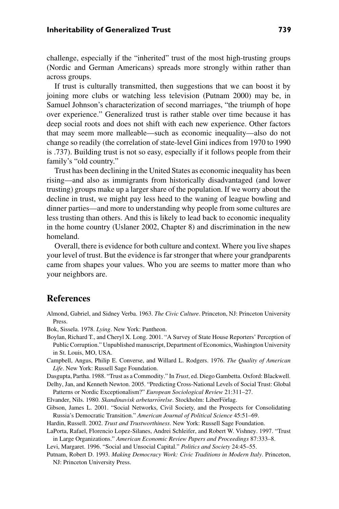challenge, especially if the "inherited" trust of the most high-trusting groups (Nordic and German Americans) spreads more strongly within rather than across groups.

If trust is culturally transmitted, then suggestions that we can boost it by joining more clubs or watching less television (Putnam 2000) may be, in Samuel Johnson's characterization of second marriages, "the triumph of hope over experience." Generalized trust is rather stable over time because it has deep social roots and does not shift with each new experience. Other factors that may seem more malleable—such as economic inequality—also do not change so readily (the correlation of state-level Gini indices from 1970 to 1990 is .737). Building trust is not so easy, especially if it follows people from their family's "old country."

Trust has been declining in the United States as economic inequality has been rising—and also as immigrants from historically disadvantaged (and lower trusting) groups make up a larger share of the population. If we worry about the decline in trust, we might pay less heed to the waning of league bowling and dinner parties—and more to understanding why people from some cultures are less trusting than others. And this is likely to lead back to economic inequality in the home country (Uslaner 2002, Chapter 8) and discrimination in the new homeland.

Overall, there is evidence for both culture and context. Where you live shapes your level of trust. But the evidence is far stronger that where your grandparents came from shapes your values. Who you are seems to matter more than who your neighbors are.

# **References**

Almond, Gabriel, and Sidney Verba. 1963. *The Civic Culture*. Princeton, NJ: Princeton University Press.

Bok, Sissela. 1978. *Lying*. New York: Pantheon.

- Boylan, Richard T., and Cheryl X. Long. 2001. "A Survey of State House Reporters' Perception of Public Corruption." Unpublished manuscript, Department of Economics, Washington University in St. Louis, MO, USA.
- Campbell, Angus, Philip E. Converse, and Willard L. Rodgers. 1976. *The Quality of American Life*. New York: Russell Sage Foundation.

Dasgupta, Partha. 1988. "Trust as a Commodity." In *Trust*, ed. Diego Gambetta. Oxford: Blackwell.

Delhy, Jan, and Kenneth Newton. 2005. "Predicting Cross-National Levels of Social Trust: Global Patterns or Nordic Exceptionalism?" *European Sociological Review* 21:311–27.

Elvander, Nils. 1980. *Skandinavisk arbetarrörelse*. Stockholm: LiberFörlag.

Gibson, James L. 2001. "Social Networks, Civil Society, and the Prospects for Consolidating Russia's Democratic Transition." *American Journal of Political Science* 45:51–69.

Hardin, Russell. 2002. *Trust and Trustworthiness*. New York: Russell Sage Foundation.

LaPorta, Rafael, Florencio Lopez-Silanes, Andrei Schleifer, and Robert W. Vishney. 1997. "Trust in Large Organizations." *American Economic Review Papers and Proceedings* 87:333–8.

Levi, Margaret. 1996. "Social and Unsocial Capital." *Politics and Society* 24:45–55.

Putnam, Robert D. 1993. *Making Democracy Work: Civic Traditions in Modern Italy*. Princeton, NJ: Princeton University Press.